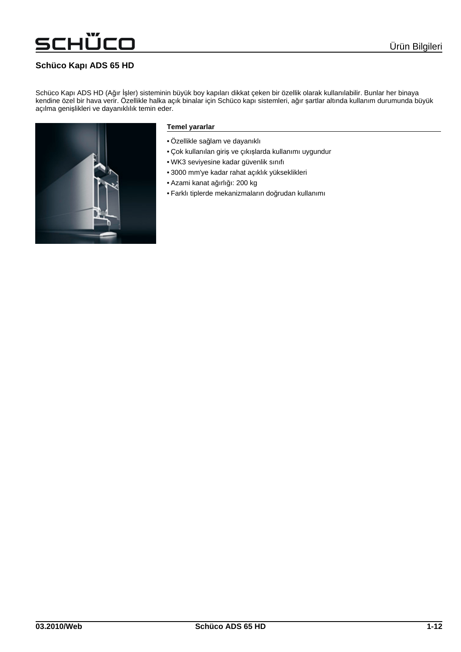### **Schüco Kap**ı **ADS 65 HD**

iÜCO

Schüco Kapı ADS HD (Ağır İşler) sisteminin büyük boy kapıları dikkat çeken bir özellik olarak kullanılabilir. Bunlar her binaya kendine özel bir hava verir. Özellikle halka açık binalar için Schüco kapı sistemleri, ağır şartlar altında kullanım durumunda büyük açılma genişlikleri ve dayanıklılık temin eder.



#### **Temel yararlar**

- Özellikle sağlam ve dayanıklı
- Çok kullanılan giriş ve çıkışlarda kullanımı uygundur
- WK3 seviyesine kadar güvenlik sınıfı
- 3000 mm'ye kadar rahat açıklık yükseklikleri
- Azami kanat ağırlığı: 200 kg
- Farklı tiplerde mekanizmaların doğrudan kullanımı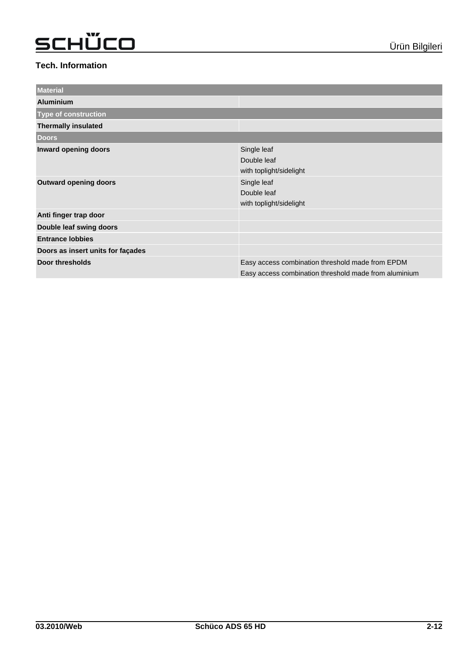| <b>Material</b>                   |                                                                                                           |
|-----------------------------------|-----------------------------------------------------------------------------------------------------------|
| <b>Aluminium</b>                  |                                                                                                           |
| <b>Type of construction</b>       |                                                                                                           |
| <b>Thermally insulated</b>        |                                                                                                           |
| <b>Doors</b>                      |                                                                                                           |
| Inward opening doors              | Single leaf<br>Double leaf<br>with toplight/sidelight                                                     |
| <b>Outward opening doors</b>      | Single leaf<br>Double leaf<br>with toplight/sidelight                                                     |
| Anti finger trap door             |                                                                                                           |
| Double leaf swing doors           |                                                                                                           |
| <b>Entrance lobbies</b>           |                                                                                                           |
| Doors as insert units for façades |                                                                                                           |
| Door thresholds                   | Easy access combination threshold made from EPDM<br>Easy access combination threshold made from aluminium |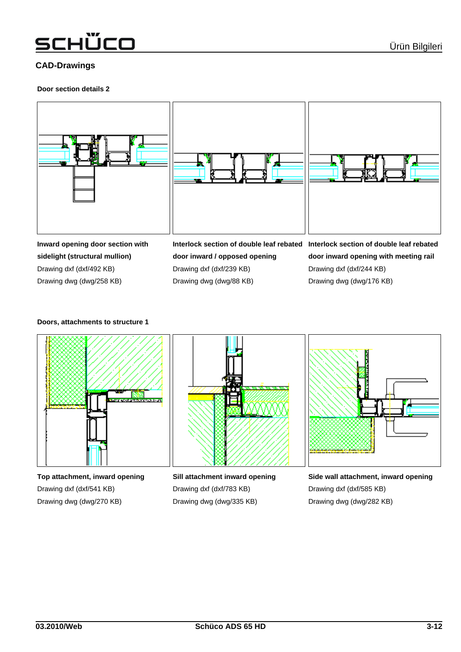### schÜco

### **CAD-Drawings**

#### **Door section details 2**



**sidelight (structural mullion)** Drawing dxf (dxf/492 KB) Drawing dwg (dwg/258 KB)

**door inward / opposed opening** Drawing dxf (dxf/239 KB) Drawing dwg (dwg/88 KB)

**door inward opening with meeting rail** Drawing dxf (dxf/244 KB) Drawing dwg (dwg/176 KB)

#### **Doors, attachments to structure 1**



**Top attachment, inward opening** Drawing dxf (dxf/541 KB) Drawing dwg (dwg/270 KB)



**Sill attachment inward opening** Drawing dxf (dxf/783 KB) Drawing dwg (dwg/335 KB)



**Side wall attachment, inward opening** Drawing dxf (dxf/585 KB) Drawing dwg (dwg/282 KB)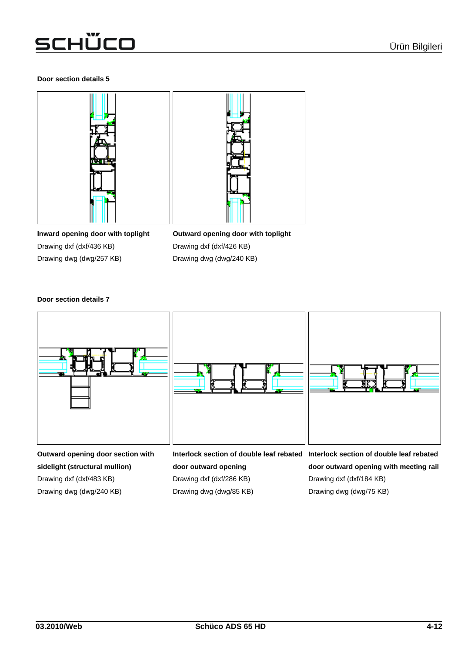#### **Door section details 5**



**Inward opening door with toplight** Drawing dxf (dxf/436 KB) Drawing dwg (dwg/257 KB)

**Outward opening door with toplight** Drawing dxf (dxf/426 KB) Drawing dwg (dwg/240 KB)

#### **Door section details 7**



**sidelight (structural mullion)** Drawing dxf (dxf/483 KB)

Drawing dwg (dwg/240 KB)

**door outward opening** Drawing dxf (dxf/286 KB) Drawing dwg (dwg/85 KB)

**door outward opening with meeting rail** Drawing dxf (dxf/184 KB) Drawing dwg (dwg/75 KB)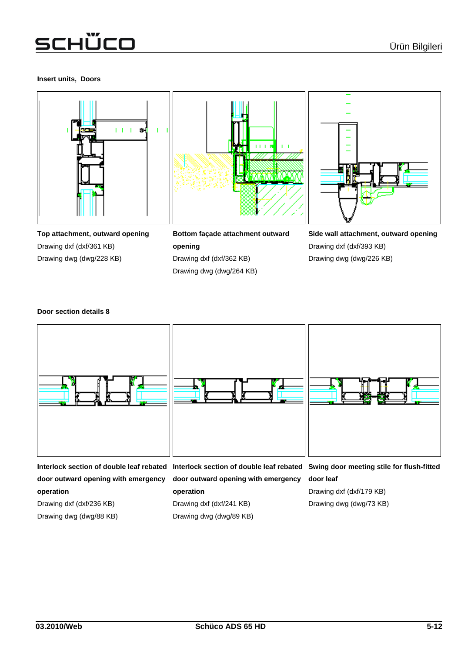#### **Insert units, Doors**







**Top attachment, outward opening** Drawing dxf (dxf/361 KB) Drawing dwg (dwg/228 KB)

| Bottom facade attachment outward |  |
|----------------------------------|--|
| opening                          |  |
| Drawing dxf (dxf/362 KB)         |  |
| Drawing dwg (dwg/264 KB)         |  |

**Side wall attachment, outward opening** Drawing dxf (dxf/393 KB) Drawing dwg (dwg/226 KB)

#### **Door section details 8**



**door outward opening with emergency operation**

**door outward opening with emergency**

### Drawing dxf (dxf/236 KB)

Drawing dwg (dwg/88 KB)

### **operation** Drawing dxf (dxf/241 KB)

Drawing dwg (dwg/89 KB)

### **door leaf**

Drawing dxf (dxf/179 KB) Drawing dwg (dwg/73 KB)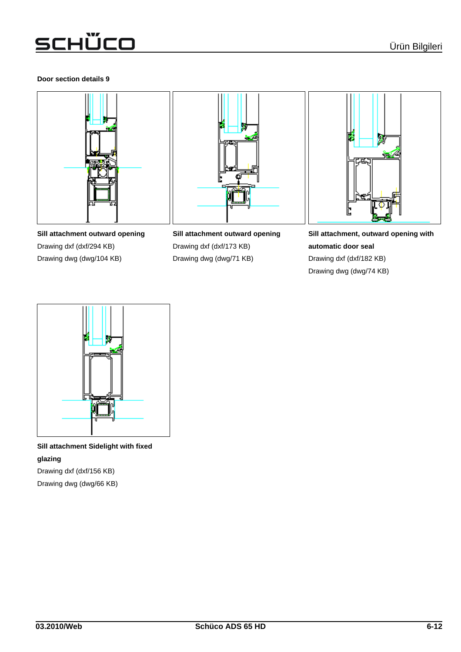### **Door section details 9**







**Sill attachment outward opening** Drawing dxf (dxf/294 KB) Drawing dwg (dwg/104 KB)

**Sill attachment outward opening** Drawing dxf (dxf/173 KB) Drawing dwg (dwg/71 KB)

**Sill attachment, outward opening with automatic door seal** Drawing dxf (dxf/182 KB) Drawing dwg (dwg/74 KB)



**Sill attachment Sidelight with fixed glazing** Drawing dxf (dxf/156 KB)

Drawing dwg (dwg/66 KB)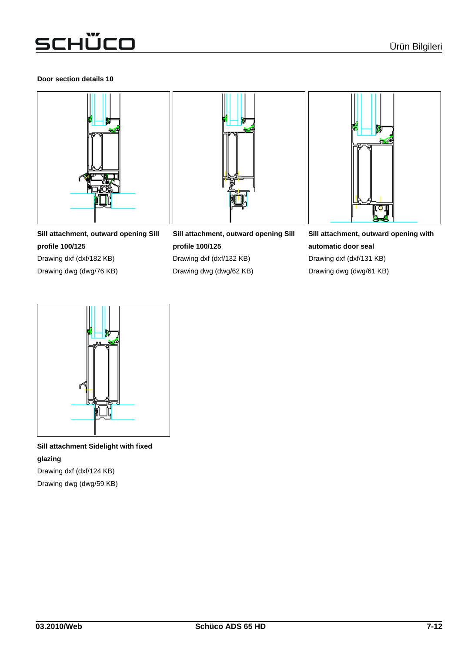### **Door section details 10**



**Sill attachment, outward opening Sill profile 100/125** Drawing dxf (dxf/182 KB)

Drawing dwg (dwg/76 KB)

**Sill attachment, outward opening Sill profile 100/125** Drawing dxf (dxf/132 KB) Drawing dwg (dwg/62 KB)



**Sill attachment, outward opening with automatic door seal** Drawing dxf (dxf/131 KB) Drawing dwg (dwg/61 KB)



**Sill attachment Sidelight with fixed glazing** Drawing dxf (dxf/124 KB)

Drawing dwg (dwg/59 KB)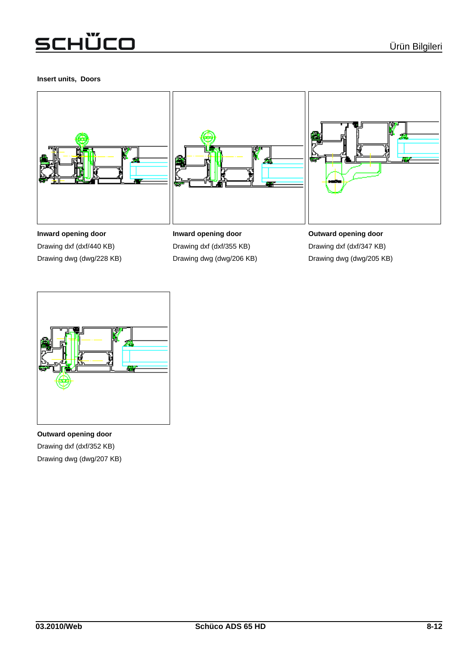### **Insert units, Doors**







**Inward opening door** Drawing dxf (dxf/440 KB) Drawing dwg (dwg/228 KB)

**Inward opening door** Drawing dxf (dxf/355 KB) Drawing dwg (dwg/206 KB)

**Outward opening door** Drawing dxf (dxf/347 KB) Drawing dwg (dwg/205 KB)



**Outward opening door** Drawing dxf (dxf/352 KB) Drawing dwg (dwg/207 KB)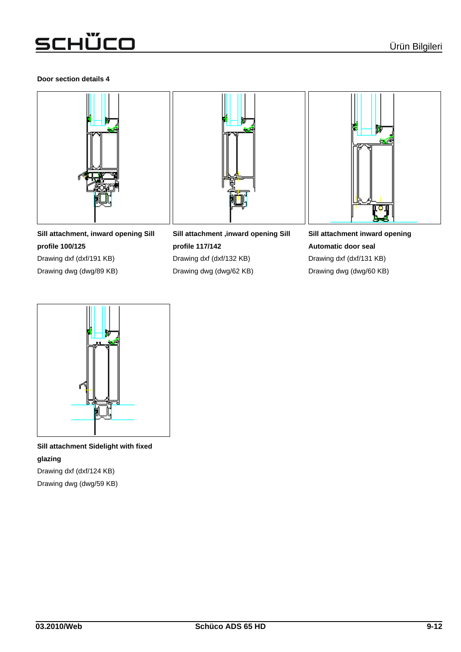### **Door section details 4**



**Sill attachment, inward opening Sill profile 100/125** Drawing dxf (dxf/191 KB)

Drawing dwg (dwg/89 KB)

**Sill attachment ,inward opening Sill profile 117/142** Drawing dxf (dxf/132 KB)

Drawing dwg (dwg/62 KB)



**Sill attachment inward opening Automatic door seal** Drawing dxf (dxf/131 KB) Drawing dwg (dwg/60 KB)



**Sill attachment Sidelight with fixed glazing** Drawing dxf (dxf/124 KB)

Drawing dwg (dwg/59 KB)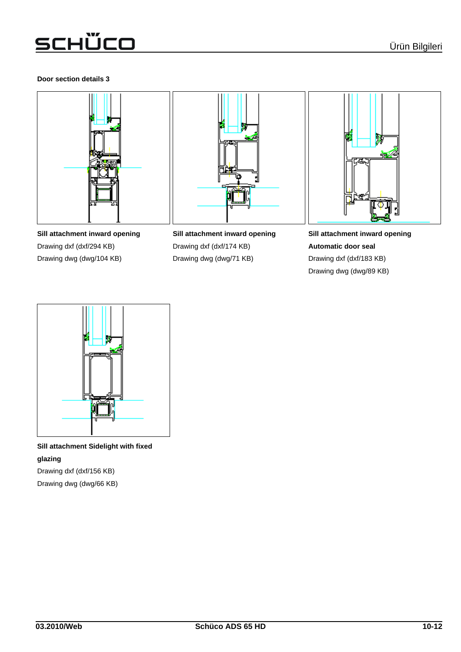### **Door section details 3**







**Sill attachment inward opening** Drawing dxf (dxf/294 KB) Drawing dwg (dwg/104 KB)

**Sill attachment inward opening** Drawing dxf (dxf/174 KB) Drawing dwg (dwg/71 KB)

**Sill attachment inward opening Automatic door seal** Drawing dxf (dxf/183 KB) Drawing dwg (dwg/89 KB)



**Sill attachment Sidelight with fixed glazing** Drawing dxf (dxf/156 KB)

Drawing dwg (dwg/66 KB)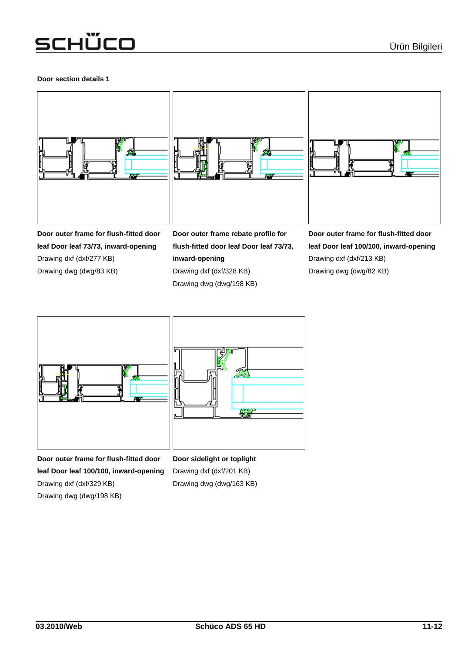### **Door section details 1**





**Door outer frame for flush-fitted door leaf Door leaf 73/73, inward-opening** Drawing dxf (dxf/277 KB) Drawing dwg (dwg/83 KB)

**Door outer frame rebate profile for flush-fitted door leaf Door leaf 73/73, inward-opening** Drawing dxf (dxf/328 KB) Drawing dwg (dwg/198 KB)

₩

**Door outer frame for flush-fitted door leaf Door leaf 100/100, inward-opening** Drawing dxf (dxf/213 KB) Drawing dwg (dwg/82 KB)



**Door outer frame for flush-fitted door leaf Door leaf 100/100, inward-opening** Drawing dxf (dxf/329 KB) Drawing dwg (dwg/198 KB)

**Door sidelight or toplight** Drawing dxf (dxf/201 KB) Drawing dwg (dwg/163 KB)